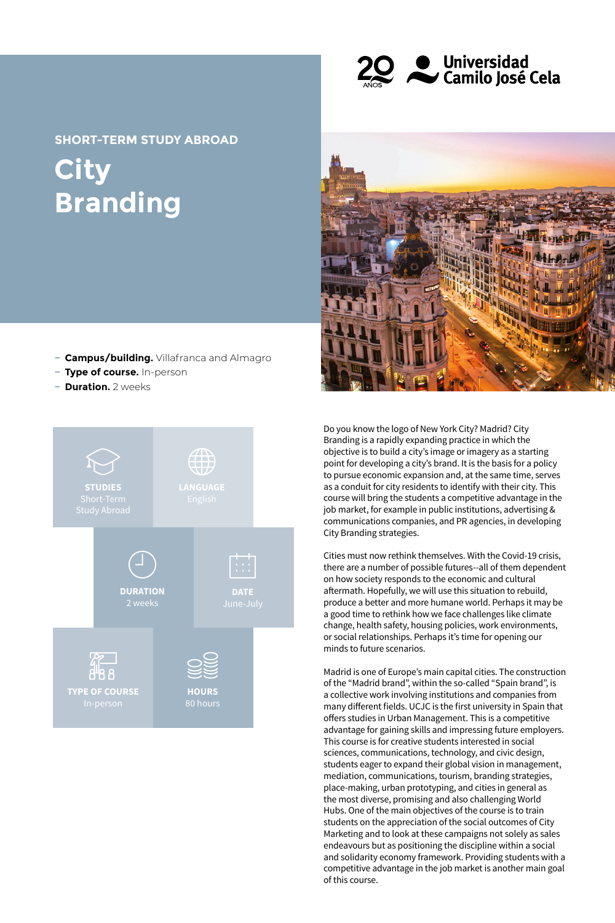

**City Branding SHORT-TERM STUDY ABROAD**

- **− Campus/building.** Villafranca and Almagro
- **− Type of course.** In-person
- **− Duration.** 2 weeks





Do you know the logo of New York City? Madrid? City Branding is a rapidly expanding practice in which the objective is to build a city's image or imagery as a starting point for developing a city's brand. It is the basis for a policy to pursue economic expansion and, at the same time, serves as a conduit for city residents to identify with their city. This course will bring the students a competitive advantage in the job market, for example in public institutions, advertising & communications companies, and PR agencies, in developing City Branding strategies.

Cities must now rethink themselves. With the Covid-19 crisis, there are a number of possible futures--all of them dependent on how society responds to the economic and cultural aftermath. Hopefully, we will use this situation to rebuild, produce a better and more humane world. Perhaps it may be a good time to rethink how we face challenges like climate change, health safety, housing policies, work environments, or social relationships. Perhaps it's time for opening our minds to future scenarios.

Madrid is one of Europe's main capital cities. The construction of the "Madrid brand", within the so-called "Spain brand", is a collective work involving institutions and companies from many different fields. UCJC is the first university in Spain that offers studies in Urban Management. This is a competitive advantage for gaining skills and impressing future employers. This course is for creative students interested in social sciences, communications, technology, and civic design, students eager to expand their global vision in management, mediation, communications, tourism, branding strategies, place-making, urban prototyping, and cities in general as the most diverse, promising and also challenging World Hubs. One of the main objectives of the course is to train students on the appreciation of the social outcomes of City Marketing and to look at these campaigns not solely as sales endeavours but as positioning the discipline within a social and solidarity economy framework. Providing students with a competitive advantage in the job market is another main goal of this course.